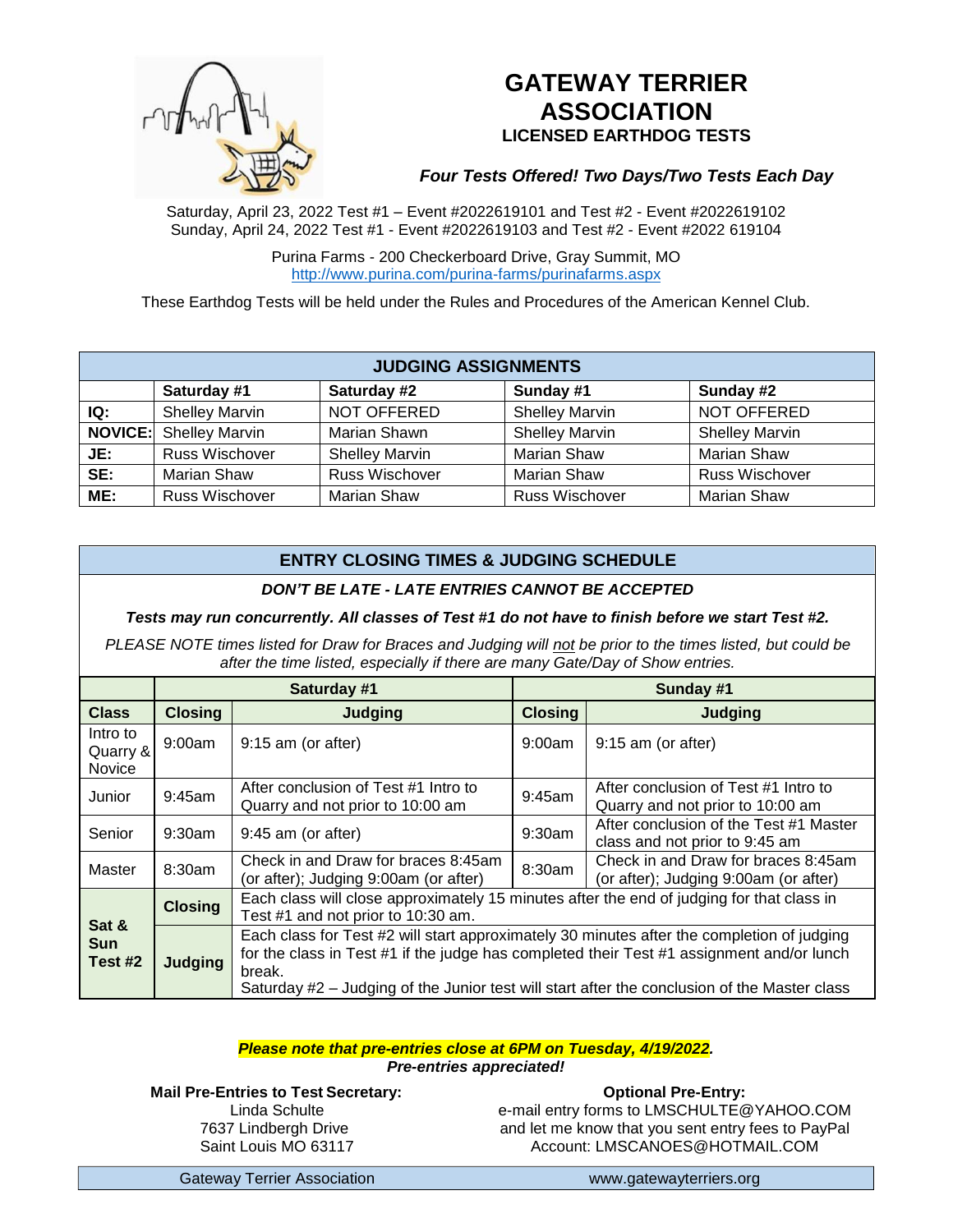

# **GATEWAY TERRIER ASSOCIATION LICENSED EARTHDOG TESTS**

# *Four Tests Offered! Two Days/Two Tests Each Day*

Saturday, April 23, 2022 Test #1 – Event #2022619101 and Test #2 - Event #2022619102 Sunday, April 24, 2022 Test #1 - Event #2022619103 and Test #2 - Event #2022 619104

> Purina Farms - 200 Checkerboard Drive, Gray Summit, MO <http://www.purina.com/purina-farms/purinafarms.aspx>

These Earthdog Tests will be held under the Rules and Procedures of the American Kennel Club.

| <b>JUDGING ASSIGNMENTS</b> |                               |                       |                       |                       |  |  |  |
|----------------------------|-------------------------------|-----------------------|-----------------------|-----------------------|--|--|--|
|                            | Saturday #1                   | Saturday #2           | Sunday #1             | Sunday #2             |  |  |  |
| IQ:                        | <b>Shelley Marvin</b>         | NOT OFFERED           | <b>Shelley Marvin</b> | NOT OFFERED           |  |  |  |
|                            | <b>NOVICE:</b> Shelley Marvin | Marian Shawn          | <b>Shelley Marvin</b> | <b>Shelley Marvin</b> |  |  |  |
| JE:                        | <b>Russ Wischover</b>         | <b>Shelley Marvin</b> | <b>Marian Shaw</b>    | <b>Marian Shaw</b>    |  |  |  |
| SE:                        | <b>Marian Shaw</b>            | Russ Wischover        | <b>Marian Shaw</b>    | <b>Russ Wischover</b> |  |  |  |
| ME:                        | <b>Russ Wischover</b>         | <b>Marian Shaw</b>    | <b>Russ Wischover</b> | <b>Marian Shaw</b>    |  |  |  |

# **ENTRY CLOSING TIMES & JUDGING SCHEDULE**

#### *DON'T BE LATE - LATE ENTRIES CANNOT BE ACCEPTED*

*Tests may run concurrently. All classes of Test #1 do not have to finish before we start Test #2.*

*PLEASE NOTE times listed for Draw for Braces and Judging will not be prior to the times listed, but could be after the time listed, especially if there are many Gate/Day of Show entries.*

|                                       | Saturday #1    |                                                                                                                                                                                                                                                                                                   | Sunday #1      |                                                                              |  |  |
|---------------------------------------|----------------|---------------------------------------------------------------------------------------------------------------------------------------------------------------------------------------------------------------------------------------------------------------------------------------------------|----------------|------------------------------------------------------------------------------|--|--|
| <b>Class</b>                          | <b>Closing</b> | <b>Judging</b>                                                                                                                                                                                                                                                                                    | <b>Closing</b> | Judging                                                                      |  |  |
| Intro to<br>Quarry &<br><b>Novice</b> | 9:00am         | $9:15$ am (or after)                                                                                                                                                                                                                                                                              | 9:00am         | 9:15 am (or after)                                                           |  |  |
| Junior                                | 9:45am         | After conclusion of Test #1 Intro to<br>Quarry and not prior to 10:00 am                                                                                                                                                                                                                          | 9:45am         | After conclusion of Test #1 Intro to<br>Quarry and not prior to 10:00 am     |  |  |
| Senior                                | 9:30am         | $9:45$ am (or after)                                                                                                                                                                                                                                                                              | 9:30am         | After conclusion of the Test #1 Master<br>class and not prior to 9:45 am     |  |  |
| Master                                | 8:30am         | Check in and Draw for braces 8:45am<br>(or after); Judging 9:00am (or after)                                                                                                                                                                                                                      | 8:30am         | Check in and Draw for braces 8:45am<br>(or after); Judging 9:00am (or after) |  |  |
| Sat &                                 | <b>Closing</b> | Each class will close approximately 15 minutes after the end of judging for that class in<br>Test #1 and not prior to 10:30 am.                                                                                                                                                                   |                |                                                                              |  |  |
| <b>Sun</b><br>Test #2                 | Judging        | Each class for Test #2 will start approximately 30 minutes after the completion of judging<br>for the class in Test #1 if the judge has completed their Test #1 assignment and/or lunch<br>break.<br>Saturday #2 – Judging of the Junior test will start after the conclusion of the Master class |                |                                                                              |  |  |

#### *Please note that pre-entries close at 6PM on Tuesday, 4/19/2022. Pre-entries appreciated!*

**Mail Pre-Entries to Test Secretary:** Linda Schulte 7637 Lindbergh Drive Saint Louis MO 63117

**Optional Pre-Entry:** e-mail entry forms to [LMSCHULTE@YAHOO.COM](mailto:LMSCHULTE@YAHOO.COM) and let me know that you sent entry fees to PayPal Account: [LMSCANOES@HOTMAIL.COM](mailto:LMSCANOES@HOTMAIL.COM)

Gateway Terrier Association [www.gatewayterriers.org](http://www.gatewayterriers.org/)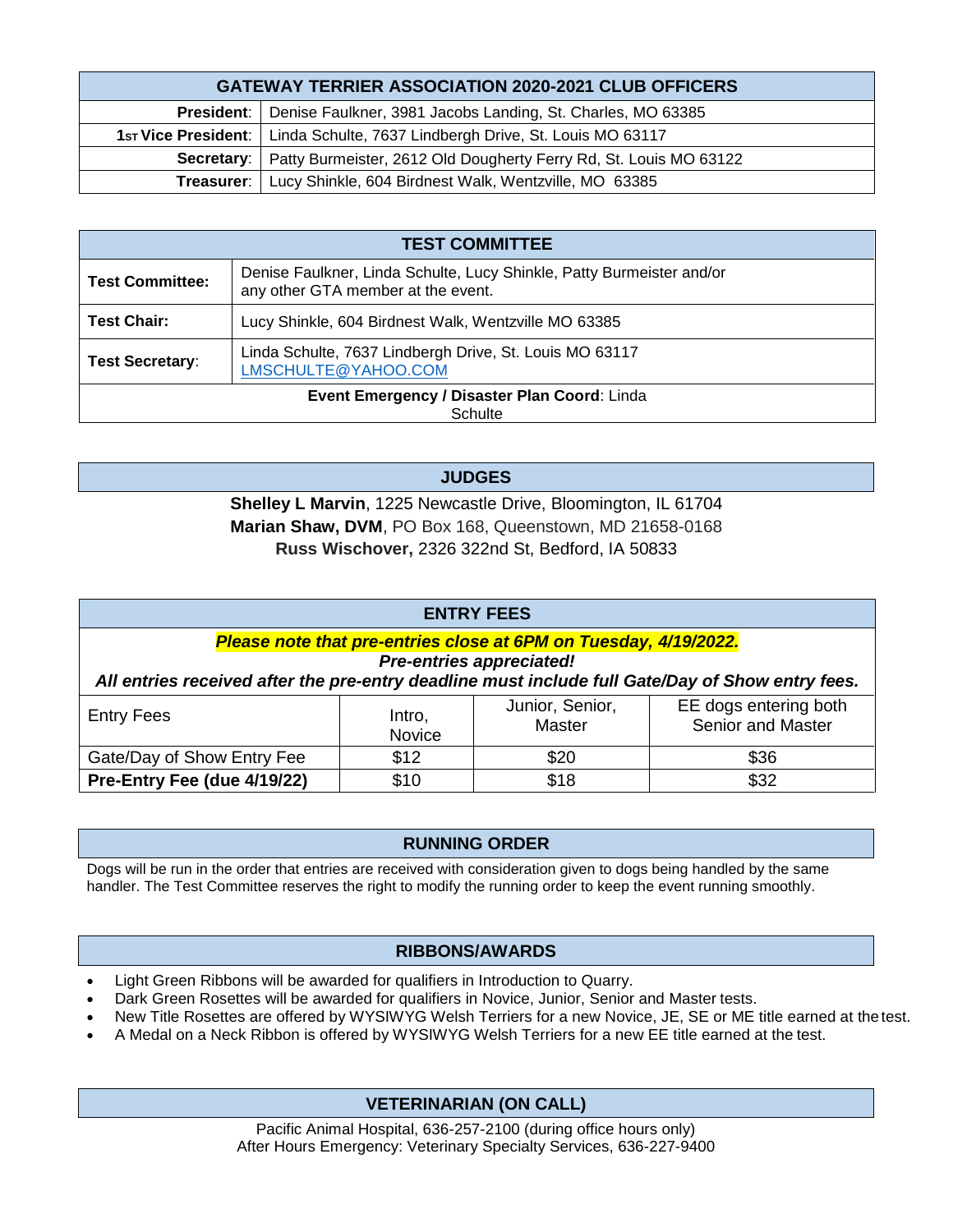| <b>GATEWAY TERRIER ASSOCIATION 2020-2021 CLUB OFFICERS</b>                     |                                                                          |  |  |  |
|--------------------------------------------------------------------------------|--------------------------------------------------------------------------|--|--|--|
|                                                                                | President:   Denise Faulkner, 3981 Jacobs Landing, St. Charles, MO 63385 |  |  |  |
| 1st Vice President:   Linda Schulte, 7637 Lindbergh Drive, St. Louis MO 63117  |                                                                          |  |  |  |
| Secretary:   Patty Burmeister, 2612 Old Dougherty Ferry Rd, St. Louis MO 63122 |                                                                          |  |  |  |
| <b>Treasurer:</b>   Lucy Shinkle, 604 Birdnest Walk, Wentzville, MO 63385      |                                                                          |  |  |  |

| <b>TEST COMMITTEE</b>                                   |                                                                                                             |  |  |  |
|---------------------------------------------------------|-------------------------------------------------------------------------------------------------------------|--|--|--|
| <b>Test Committee:</b>                                  | Denise Faulkner, Linda Schulte, Lucy Shinkle, Patty Burmeister and/or<br>any other GTA member at the event. |  |  |  |
| <b>Test Chair:</b>                                      | Lucy Shinkle, 604 Birdnest Walk, Wentzville MO 63385                                                        |  |  |  |
| <b>Test Secretary:</b>                                  | Linda Schulte, 7637 Lindbergh Drive, St. Louis MO 63117<br>LMSCHULTE@YAHOO.COM                              |  |  |  |
| Event Emergency / Disaster Plan Coord: Linda<br>Schulte |                                                                                                             |  |  |  |

**JUDGES**

**Shelley L Marvin**, 1225 Newcastle Drive, Bloomington, IL 61704 **Marian Shaw, DVM**, PO Box 168, Queenstown, MD 21658-0168 **Russ Wischover,** 2326 322nd St, Bedford, IA 50833

| <b>ENTRY FEES</b>                                                                                                                                                                                       |                  |                                  |                                            |  |  |  |  |
|---------------------------------------------------------------------------------------------------------------------------------------------------------------------------------------------------------|------------------|----------------------------------|--------------------------------------------|--|--|--|--|
| Please note that pre-entries close at 6PM on Tuesday, 4/19/2022.<br><b>Pre-entries appreciated!</b><br>All entries received after the pre-entry deadline must include full Gate/Day of Show entry fees. |                  |                                  |                                            |  |  |  |  |
| <b>Entry Fees</b>                                                                                                                                                                                       | Intro,<br>Novice | Junior, Senior,<br><b>Master</b> | EE dogs entering both<br>Senior and Master |  |  |  |  |
| Gate/Day of Show Entry Fee                                                                                                                                                                              | \$12             | \$20                             | \$36                                       |  |  |  |  |
| Pre-Entry Fee (due 4/19/22)                                                                                                                                                                             | \$10             | \$18                             | \$32                                       |  |  |  |  |

# **RUNNING ORDER**

Dogs will be run in the order that entries are received with consideration given to dogs being handled by the same handler. The Test Committee reserves the right to modify the running order to keep the event running smoothly.

# **RIBBONS/AWARDS**

- Light Green Ribbons will be awarded for qualifiers in Introduction to Quarry.
- Dark Green Rosettes will be awarded for qualifiers in Novice, Junior, Senior and Master tests.
- New Title Rosettes are offered by WYSIWYG Welsh Terriers for a new Novice, JE, SE or ME title earned at thetest.
- A Medal on a Neck Ribbon is offered by WYSIWYG Welsh Terriers for a new EE title earned at the test.

# **VETERINARIAN (ON CALL)**

Pacific Animal Hospital, 636-257-2100 (during office hours only) After Hours Emergency: Veterinary Specialty Services, 636-227-9400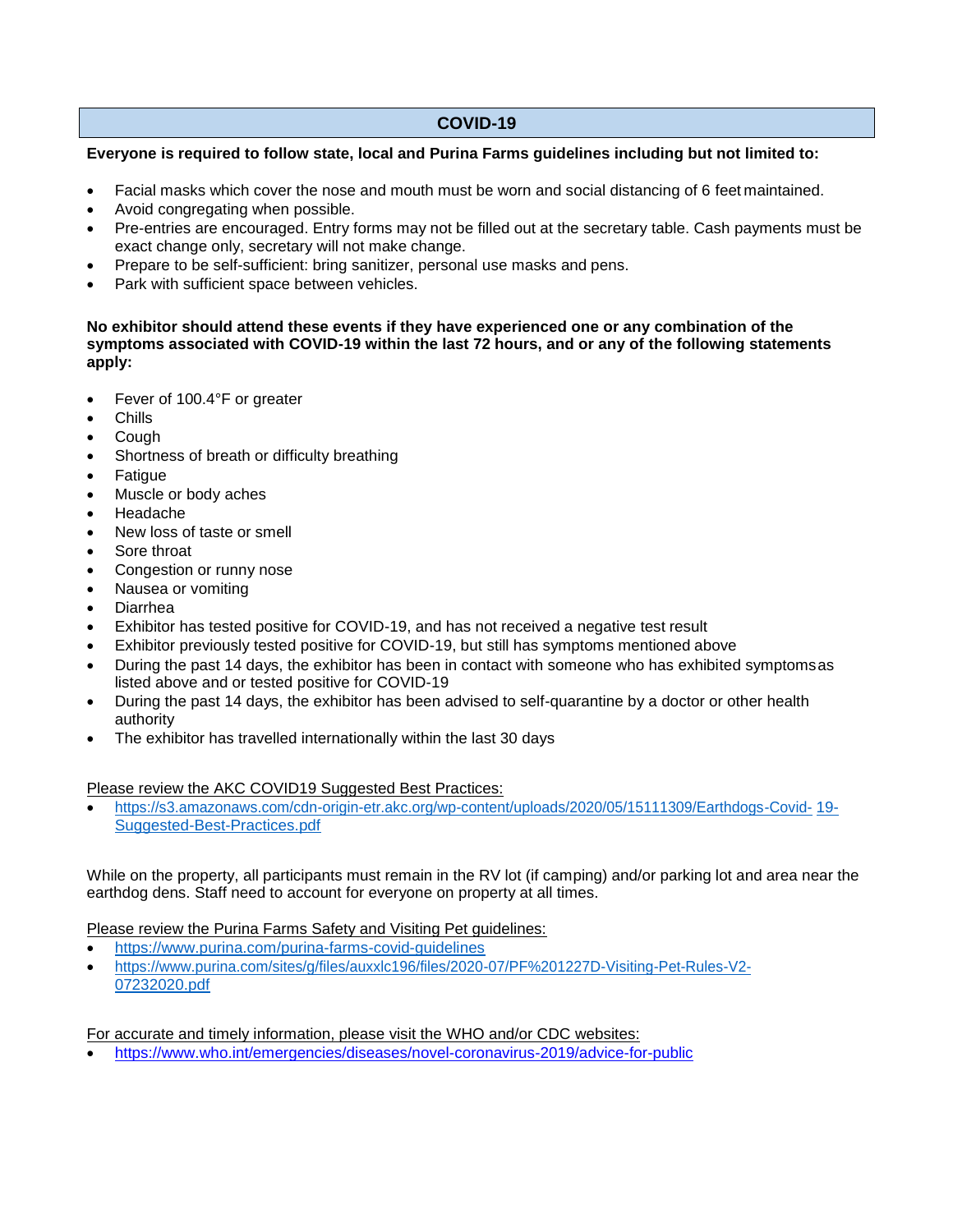# **COVID-19**

#### **Everyone is required to follow state, local and Purina Farms guidelines including but not limited to:**

- Facial masks which cover the nose and mouth must be worn and social distancing of 6 feet maintained.
- Avoid congregating when possible.
- Pre-entries are encouraged. Entry forms may not be filled out at the secretary table. Cash payments must be exact change only, secretary will not make change.
- Prepare to be self-sufficient: bring sanitizer, personal use masks and pens.
- Park with sufficient space between vehicles.

#### **No exhibitor should attend these events if they have experienced one or any combination of the symptoms associated with COVID-19 within the last 72 hours, and or any of the following statements apply:**

- Fever of 100.4°F or greater
- Chills
- Cough
- Shortness of breath or difficulty breathing
- Fatique
- Muscle or body aches
- Headache
- New loss of taste or smell
- Sore throat
- Congestion or runny nose
- Nausea or vomiting
- Diarrhea
- Exhibitor has tested positive for COVID-19, and has not received a negative test result
- Exhibitor previously tested positive for COVID-19, but still has symptoms mentioned above
- During the past 14 days, the exhibitor has been in contact with someone who has exhibited symptomsas listed above and or tested positive for COVID-19
- During the past 14 days, the exhibitor has been advised to self-quarantine by a doctor or other health authority
- The exhibitor has travelled internationally within the last 30 days

#### Please review the AKC COVID19 Suggested Best Practices:

 https://s3.amazonaws.com/cdn-origin-etr.akc.org/wp-content/uploads/2020/05/15111309/Earthdogs-Covid- 19- Suggested-Best-Practices.pdf

While on the property, all participants must remain in the RV lot (if camping) and/or parking lot and area near the earthdog dens. Staff need to account for everyone on property at all times.

Please review the Purina Farms Safety and Visiting Pet guidelines:

- https:/[/www.purina.com/purina-farms-covid-guidelines](http://www.purina.com/purina-farms-covid-guidelines)
- https:/[/www.purina.com/sites/g/files/auxxlc196/files/2020-07/PF%201227D-Visiting-Pet-Rules-V2-](http://www.purina.com/sites/g/files/auxxlc196/files/2020-07/PF%201227D-Visiting-Pet-Rules-V2-) 07232020.pdf

For accurate and timely information, please visit the WHO and/or CDC websites:

https:/[/www.who.int/emergencies/diseases/novel-coronavirus-2019/advice-for-public](http://www.who.int/emergencies/diseases/novel-coronavirus-2019/advice-for-public)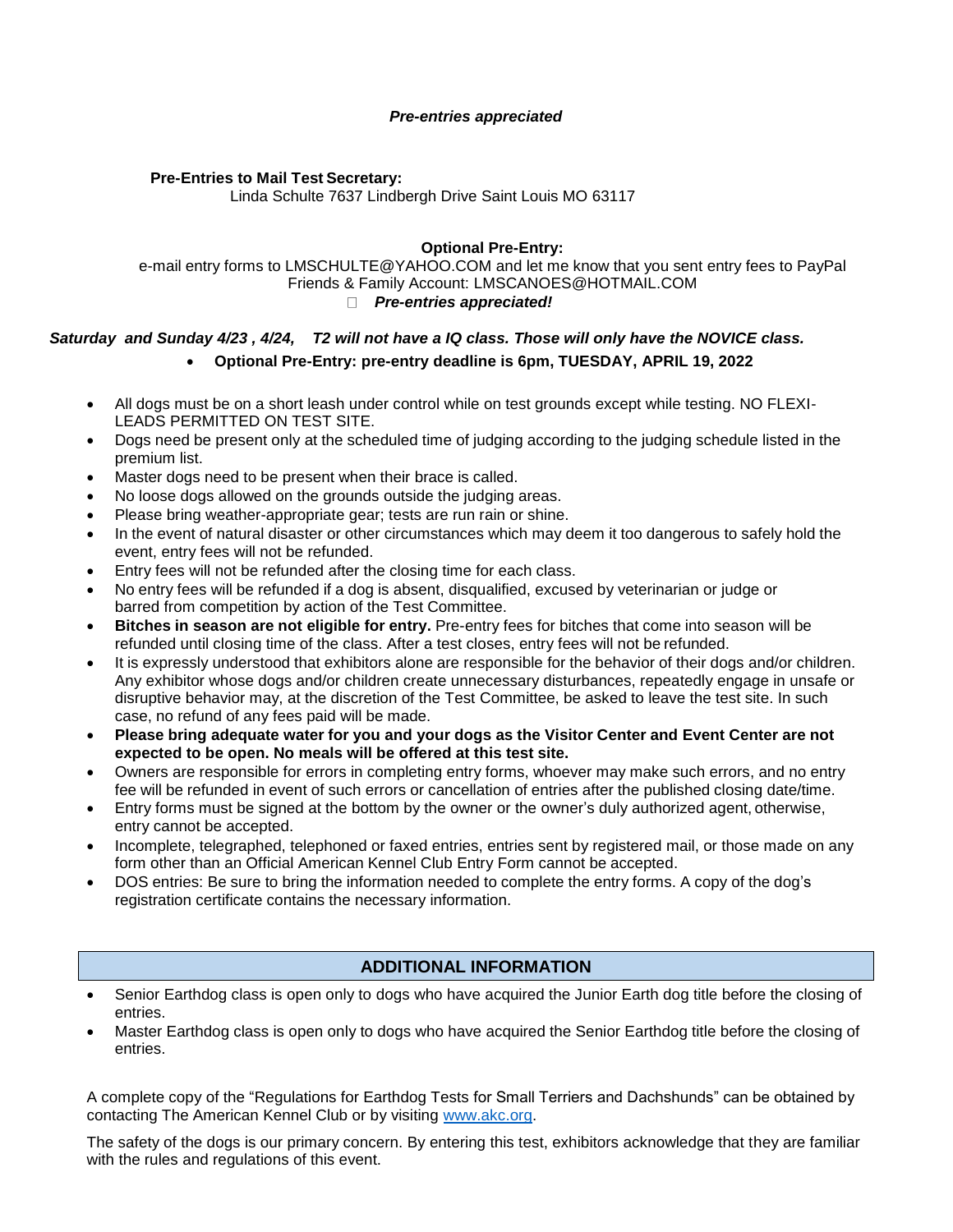#### *Pre-entries appreciated*

#### **Pre-Entries to Mail Test Secretary:**

Linda Schulte 7637 Lindbergh Drive Saint Louis MO 63117

#### **Optional Pre-Entry:**

e-mail entry forms to [LMSCHULTE@YAHOO.COM](mailto:LMSCHULTE@YAHOO.COM) and let me know that you sent entry fees to PayPal Friends & Family Account: [LMSCANOES@HOTMAIL.COM](mailto:LMSCANOES@HOTMAIL.COM) *Pre-entries appreciated!*

# *Saturday and Sunday 4/23 , 4/24, T2 will not have a IQ class. Those will only have the NOVICE class.* **Optional Pre-Entry: pre-entry deadline is 6pm, TUESDAY, APRIL 19, 2022**

- All dogs must be on a short leash under control while on test grounds except while testing. NO FLEXI-LEADS PERMITTED ON TEST SITE.
- Dogs need be present only at the scheduled time of judging according to the judging schedule listed in the premium list.
- Master dogs need to be present when their brace is called.
- No loose dogs allowed on the grounds outside the judging areas.
- Please bring weather-appropriate gear; tests are run rain or shine.
- In the event of natural disaster or other circumstances which may deem it too dangerous to safely hold the event, entry fees will not be refunded.
- Entry fees will not be refunded after the closing time for each class.
- No entry fees will be refunded if a dog is absent, disqualified, excused by veterinarian or judge or barred from competition by action of the Test Committee.
- **Bitches in season are not eligible for entry.** Pre-entry fees for bitches that come into season will be refunded until closing time of the class. After a test closes, entry fees will not be refunded.
- It is expressly understood that exhibitors alone are responsible for the behavior of their dogs and/or children. Any exhibitor whose dogs and/or children create unnecessary disturbances, repeatedly engage in unsafe or disruptive behavior may, at the discretion of the Test Committee, be asked to leave the test site. In such case, no refund of any fees paid will be made.
- **Please bring adequate water for you and your dogs as the Visitor Center and Event Center are not expected to be open. No meals will be offered at this test site.**
- Owners are responsible for errors in completing entry forms, whoever may make such errors, and no entry fee will be refunded in event of such errors or cancellation of entries after the published closing date/time.
- Entry forms must be signed at the bottom by the owner or the owner's duly authorized agent, otherwise, entry cannot be accepted.
- Incomplete, telegraphed, telephoned or faxed entries, entries sent by registered mail, or those made on any form other than an Official American Kennel Club Entry Form cannot be accepted.
- DOS entries: Be sure to bring the information needed to complete the entry forms. A copy of the dog's registration certificate contains the necessary information.

# **ADDITIONAL INFORMATION**

- Senior Earthdog class is open only to dogs who have acquired the Junior Earth dog title before the closing of entries.
- Master Earthdog class is open only to dogs who have acquired the Senior Earthdog title before the closing of entries.

A complete copy of the "Regulations for Earthdog Tests for Small Terriers and Dachshunds" can be obtained by contacting The American Kennel Club or by visiting [www.akc.org.](http://www.akc.org/)

The safety of the dogs is our primary concern. By entering this test, exhibitors acknowledge that they are familiar with the rules and regulations of this event.